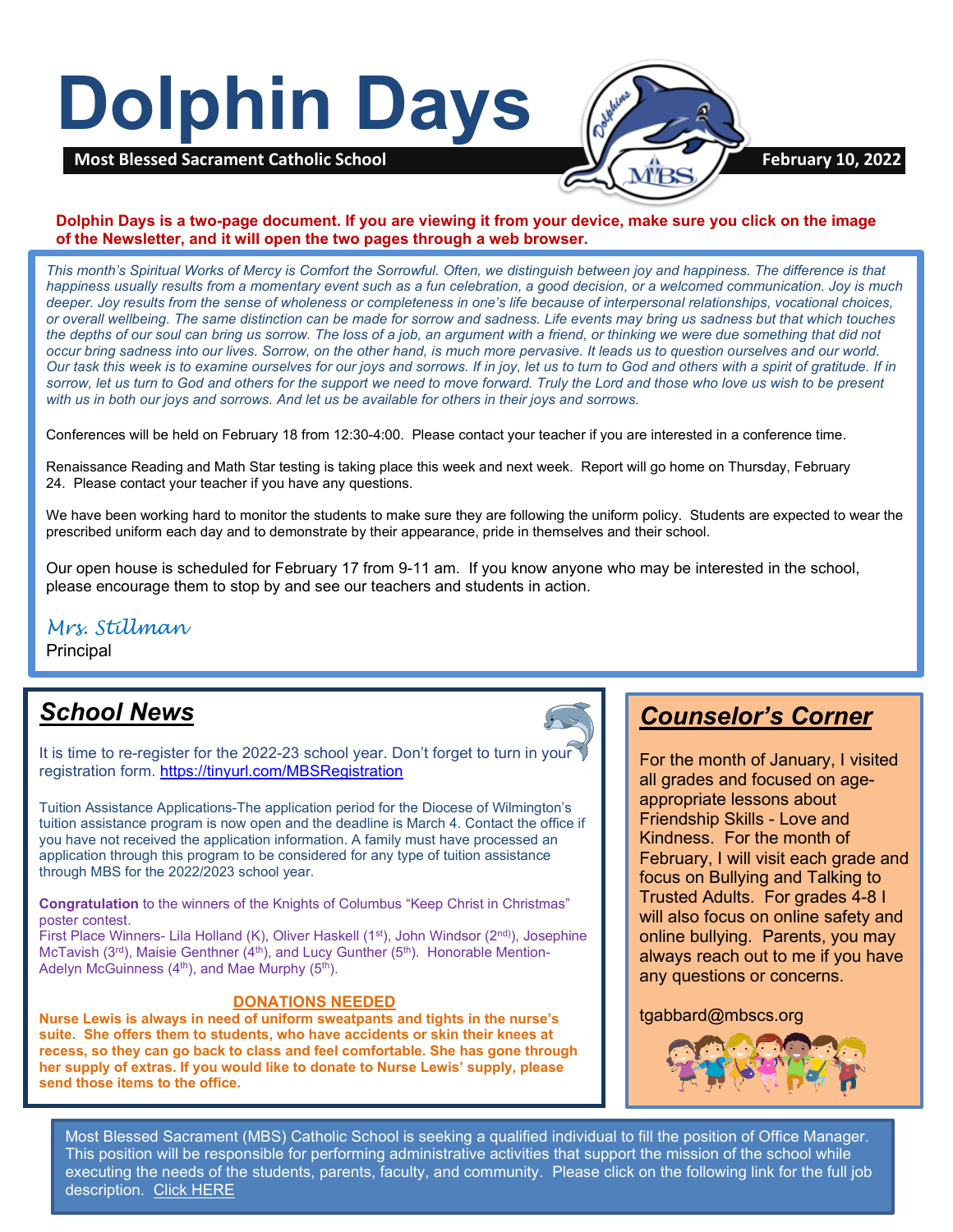# **Dolphin Days**



#### **Dolphin Days is a two-page document. If you are viewing it from your device, make sure you click on the image of the Newsletter, and it will open the two pages through a web browser.**

*This month's Spiritual Works of Mercy is Comfort the Sorrowful. Often, we distinguish between joy and happiness. The difference is that happiness usually results from a momentary event such as a fun celebration, a good decision, or a welcomed communication. Joy is much deeper. Joy results from the sense of wholeness or completeness in one's life because of interpersonal relationships, vocational choices, or overall wellbeing. The same distinction can be made for sorrow and sadness. Life events may bring us sadness but that which touches the depths of our soul can bring us sorrow. The loss of a job, an argument with a friend, or thinking we were due something that did not occur bring sadness into our lives. Sorrow, on the other hand, is much more pervasive. It leads us to question ourselves and our world. Our task this week is to examine ourselves for our joys and sorrows. If in joy, let us to turn to God and others with a spirit of gratitude. If in sorrow, let us turn to God and others for the support we need to move forward. Truly the Lord and those who love us wish to be present with us in both our joys and sorrows. And let us be available for others in their joys and sorrows.*

Conferences will be held on February 18 from 12:30-4:00. Please contact your teacher if you are interested in a conference time.

Renaissance Reading and Math Star testing is taking place this week and next week. Report will go home on Thursday, February 24. Please contact your teacher if you have any questions.

We have been working hard to monitor the students to make sure they are following the uniform policy. Students are expected to wear the prescribed uniform each day and to demonstrate by their appearance, pride in themselves and their school.

Our open house is scheduled for February 17 from 9-11 am. If you know anyone who may be interested in the school, please encourage them to stop by and see our teachers and students in action.

## *Mrs. Stillman*

**Principal** 

## *School News*

It is time to re-register for the 2022-23 school year. Don't forget to turn in your registration form. [https://tinyurl.com/MBSRegistration](https://nam11.safelinks.protection.outlook.com/?url=https%3A%2F%2Ftinyurl.com%2FMBSRegistration&data=04%7C01%7C%7C2161864bf0d14963e73908d9e71f5dd5%7C379336db33b747f882778ec04b5335cc%7C1%7C0%7C637794944183364680%7CUnknown%7CTWFpbGZsb3d8eyJWIjoiMC4wLjAwMDAiLCJQIjoiV2luMzIiLCJBTiI6Ik1haWwiLCJXVCI6Mn0%3D%7C3000&sdata=RQlruae44SedGo1g2kFGVSaBqwqCDuJZA2%2FJyt1WdYw%3D&reserved=0)

Tuition Assistance Applications-The application period for the Diocese of Wilmington's tuition assistance program is now open and the deadline is March 4. Contact the office if you have not received the application information. A family must have processed an application through this program to be considered for any type of tuition assistance through MBS for the 2022/2023 school year.

**Congratulation** to the winners of the Knights of Columbus "Keep Christ in Christmas" poster contest.

First Place Winners- Lila Holland (K), Oliver Haskell ( $1<sup>st</sup>$ ), John Windsor ( $2<sup>nd</sup>$ ), Josephine McTavish ( $3<sup>rd</sup>$ ), Maisie Genthner ( $4<sup>th</sup>$ ), and Lucy Gunther ( $5<sup>th</sup>$ ). Honorable Mention-Adelyn McGuinness  $(4<sup>th</sup>)$ , and Mae Murphy  $(5<sup>th</sup>)$ .

#### **DONATIONS NEEDED**

**Nurse Lewis is always in need of uniform sweatpants and tights in the nurse's suite. She offers them to students, who have accidents or skin their knees at recess, so they can go back to class and feel comfortable. She has gone through her supply of extras. If you would like to donate to Nurse Lewis' supply, please send those items to the office.**



## *Counselor's Corner*

For the month of January, I visited all grades and focused on ageappropriate lessons about Friendship Skills - Love and Kindness. For the month of February, I will visit each grade and focus on Bullying and Talking to Trusted Adults. For grades 4-8 I will also focus on online safety and online bullying. Parents, you may always reach out to me if you have any questions or concerns.

#### tgabbard@mbscs.org



Most Blessed Sacrament (MBS) Catholic School is seeking a qualified individual to fill the position of Office Manager. This position will be responsible for performing administrative activities that support the mission of the school while executing the needs of the students, parents, faculty, and community. Please click on the following link for the full job description. [Click HERE](https://tinyurl.com/MBSOfficeManager)